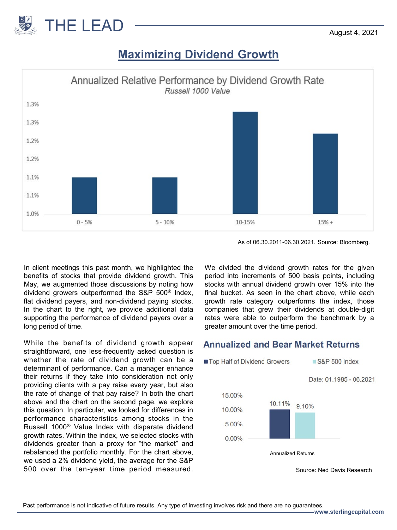

## **Maximizing Dividend Growth**



As of 06.30.2011-06.30.2021. Source: Bloomberg.

In client meetings this past month, we highlighted the benefits of stocks that provide dividend growth. This May, we augmented those discussions by noting how dividend growers outperformed the S&P 500® Index, flat dividend payers, and non-dividend paying stocks. In the chart to the right, we provide additional data supporting the performance of dividend payers over a long period of time.

While the benefits of dividend growth appear straightforward, one less-frequently asked question is whether the rate of dividend growth can be a determinant of performance. Can a manager enhance their returns if they take into consideration not only providing clients with a pay raise every year, but also the rate of change of that pay raise? In both the chart above and the chart on the second page, we explore this question. In particular, we looked for differences in performance characteristics among stocks in the Russell 1000® Value Index with disparate dividend growth rates. Within the index, we selected stocks with dividends greater than a proxy for "the market" and rebalanced the portfolio monthly. For the chart above, we used a 2% dividend yield, the average for the S&P 500 over the ten-year time period measured.

We divided the dividend growth rates for the given period into increments of 500 basis points, including stocks with annual dividend growth over 15% into the final bucket. As seen in the chart above, while each growth rate category outperforms the index, those companies that grew their dividends at double-digit rates were able to outperform the benchmark by a greater amount over the time period.

## **Annualized and Bear Market Returns**



Source: Ned Davis Research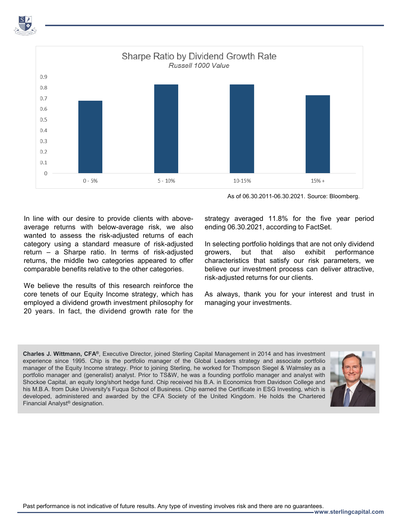

As of 06.30.2011-06.30.2021. Source: Bloomberg.

In line with our desire to provide clients with aboveaverage returns with below-average risk, we also wanted to assess the risk-adjusted returns of each category using a standard measure of risk-adjusted return – a Sharpe ratio. In terms of risk-adjusted returns, the middle two categories appeared to offer comparable benefits relative to the other categories.

We believe the results of this research reinforce the core tenets of our Equity Income strategy, which has employed a dividend growth investment philosophy for 20 years. In fact, the dividend growth rate for the

strategy averaged 11.8% for the five year period ending 06.30.2021, according to FactSet.

In selecting portfolio holdings that are not only dividend growers, but that also exhibit performance characteristics that satisfy our risk parameters, we believe our investment process can deliver attractive, risk-adjusted returns for our clients.

As always, thank you for your interest and trust in managing your investments.

**Charles J. Wittmann, CFA®**, Executive Director, joined Sterling Capital Management in 2014 and has investment experience since 1995. Chip is the portfolio manager of the Global Leaders strategy and associate portfolio manager of the Equity Income strategy. Prior to joining Sterling, he worked for Thompson Siegel & Walmsley as a portfolio manager and (generalist) analyst. Prior to TS&W, he was a founding portfolio manager and analyst with Shockoe Capital, an equity long/short hedge fund. Chip received his B.A. in Economics from Davidson College and his M.B.A. from Duke University's Fuqua School of Business. Chip earned the Certificate in ESG Investing, which is developed, administered and awarded by the CFA Society of the United Kingdom. He holds the Chartered Financial Analyst® designation.



Past performance is not indicative of future results. Any type of investing involves risk and there are no guarantees.